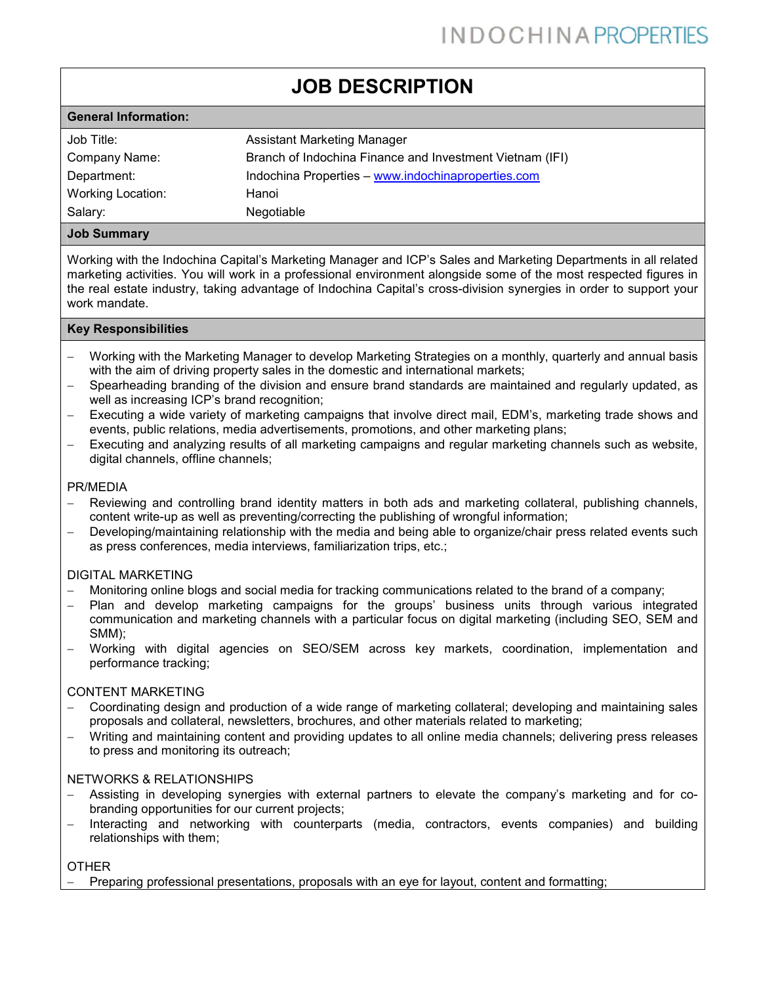# **JOB DESCRIPTION**

| <b>General Information:</b> |                                                          |
|-----------------------------|----------------------------------------------------------|
| Job Title:                  | <b>Assistant Marketing Manager</b>                       |
| Company Name:               | Branch of Indochina Finance and Investment Vietnam (IFI) |
| Department:                 | Indochina Properties - www.indochinaproperties.com       |
| Working Location:           | Hanoi                                                    |
| Salary:                     | Negotiable                                               |
|                             |                                                          |

## **Job Summary**

Working with the Indochina Capital's Marketing Manager and ICP's Sales and Marketing Departments in all related marketing activities. You will work in a professional environment alongside some of the most respected figures in the real estate industry, taking advantage of Indochina Capital's cross-division synergies in order to support your work mandate.

# **Key Responsibilities**

- Working with the Marketing Manager to develop Marketing Strategies on a monthly, quarterly and annual basis with the aim of driving property sales in the domestic and international markets;
- Spearheading branding of the division and ensure brand standards are maintained and regularly updated, as well as increasing ICP's brand recognition;
- Executing a wide variety of marketing campaigns that involve direct mail, EDM's, marketing trade shows and events, public relations, media advertisements, promotions, and other marketing plans;
- Executing and analyzing results of all marketing campaigns and regular marketing channels such as website, digital channels, offline channels;

# PR/MEDIA

- Reviewing and controlling brand identity matters in both ads and marketing collateral, publishing channels, content write-up as well as preventing/correcting the publishing of wrongful information;
- Developing/maintaining relationship with the media and being able to organize/chair press related events such as press conferences, media interviews, familiarization trips, etc.;

### DIGITAL MARKETING

- Monitoring online blogs and social media for tracking communications related to the brand of a company;
- Plan and develop marketing campaigns for the groups' business units through various integrated communication and marketing channels with a particular focus on digital marketing (including SEO, SEM and SMM);
- Working with digital agencies on SEO/SEM across key markets, coordination, implementation and performance tracking;

### CONTENT MARKETING

- Coordinating design and production of a wide range of marketing collateral; developing and maintaining sales proposals and collateral, newsletters, brochures, and other materials related to marketing;
- Writing and maintaining content and providing updates to all online media channels; delivering press releases to press and monitoring its outreach;

### NETWORKS & RELATIONSHIPS

- Assisting in developing synergies with external partners to elevate the company's marketing and for cobranding opportunities for our current projects;
- Interacting and networking with counterparts (media, contractors, events companies) and building relationships with them;

### **OTHER**

Preparing professional presentations, proposals with an eye for layout, content and formatting;